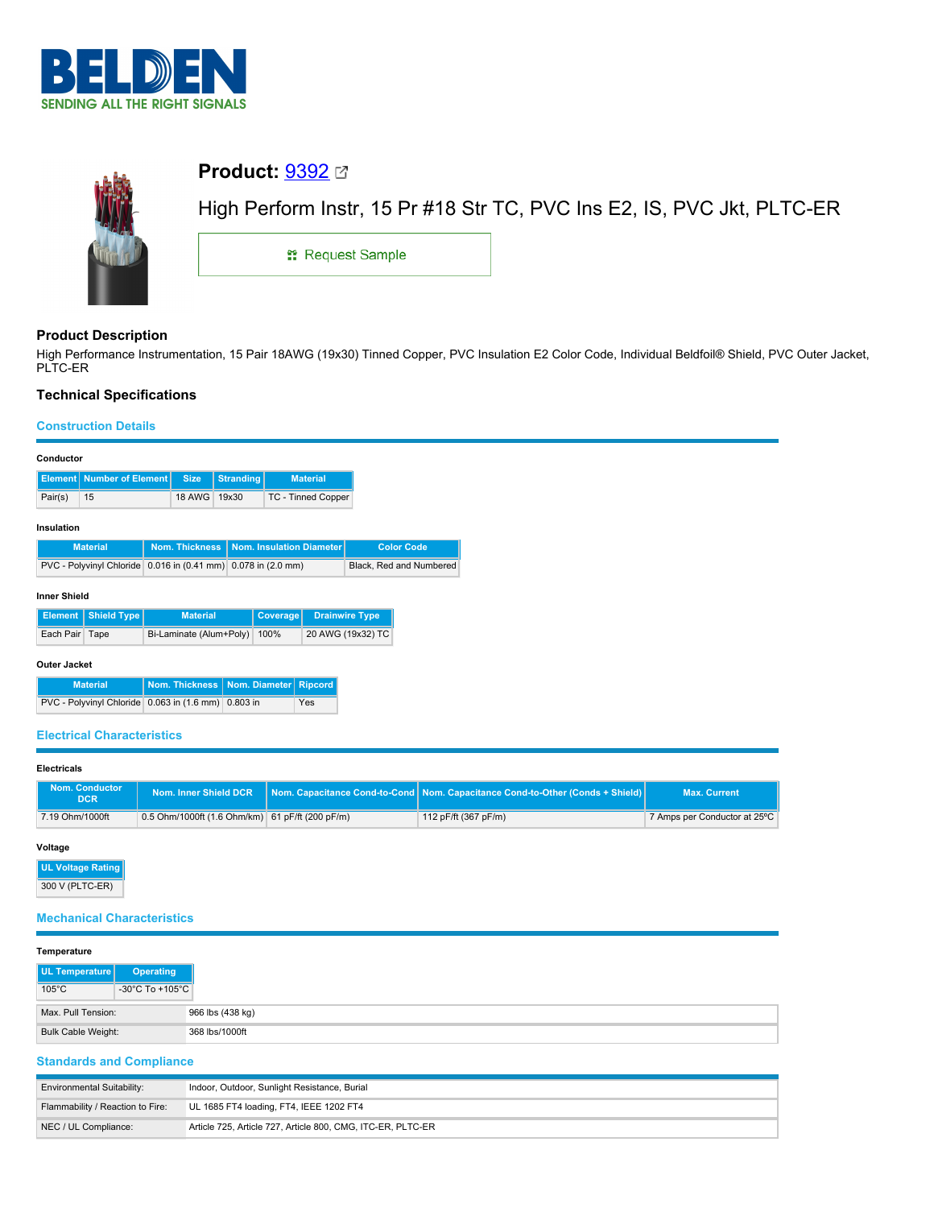



# **Product Description**

High Performance Instrumentation, 15 Pair 18AWG (19x30) Tinned Copper, PVC Insulation E2 Color Code, Individual Beldfoil® Shield, PVC Outer Jacket, PLTC-ER

# **Technical Specifications**

## **Construction Details**

|         | <b>Element   Number of Element   Size   Stranding  </b> |              | <b>Material</b>    |
|---------|---------------------------------------------------------|--------------|--------------------|
| Pair(s) | 15                                                      | 18 AWG 19x30 | TC - Tinned Copper |

## **Insulation**

| <b>Material</b>                                               | Nom. Thickness   Nom. Insulation Diameter | <b>Color Code</b>       |
|---------------------------------------------------------------|-------------------------------------------|-------------------------|
| PVC - Polyvinyl Chloride 0.016 in (0.41 mm) 0.078 in (2.0 mm) |                                           | Black, Red and Numbered |

### **Inner Shield**

|                | Element   Shield Type | <b>Material</b>              | Coverage Drainwire Type |
|----------------|-----------------------|------------------------------|-------------------------|
| Each Pair Tape |                       | Bi-Laminate (Alum+Poly) 100% | 20 AWG (19x32) TC       |

## **Outer Jacket**

| <b>Material</b>                                     | Nom. Thickness   Nom. Diameter   Ripcord |     |
|-----------------------------------------------------|------------------------------------------|-----|
| PVC - Polyvinyl Chloride 0.063 in (1.6 mm) 0.803 in |                                          | Yes |

## **Electrical Characteristics**

#### **Electricals**

| Nom. Conductor<br><b>DCR</b> | Nom. Inner Shield DCR                           | <b>Nom, Capacitance Cond-to-Cond Nom, Capacitance Cond-to-Other (Conds + Shield)</b> | <b>Max. Current</b>          |
|------------------------------|-------------------------------------------------|--------------------------------------------------------------------------------------|------------------------------|
| 7.19 Ohm/1000ft              | 0.5 Ohm/1000ft (1.6 Ohm/km) 61 pF/ft (200 pF/m) | 112 pF/ft (367 pF/m)                                                                 | 7 Amps per Conductor at 25°C |

## **Voltage**

**UL Voltage Rating** 300 V (PLTC-ER)

## **Mechanical Characteristics**

#### **Temperature**

| UL Temperature     | Operating                             |
|--------------------|---------------------------------------|
| $105^{\circ}$ C    | -30 $^{\circ}$ C To +105 $^{\circ}$ C |
| Max. Pull Tension: | 966 lbs (438 kg)                      |
| Bulk Cable Weight: | 368 lbs/1000ft                        |

# **Standards and Compliance**

| <b>Environmental Suitability:</b> | Indoor, Outdoor, Sunlight Resistance, Burial                |
|-----------------------------------|-------------------------------------------------------------|
| Flammability / Reaction to Fire:  | UL 1685 FT4 loading, FT4, IEEE 1202 FT4                     |
| NEC / UL Compliance:              | Article 725, Article 727, Article 800, CMG, ITC-ER, PLTC-ER |